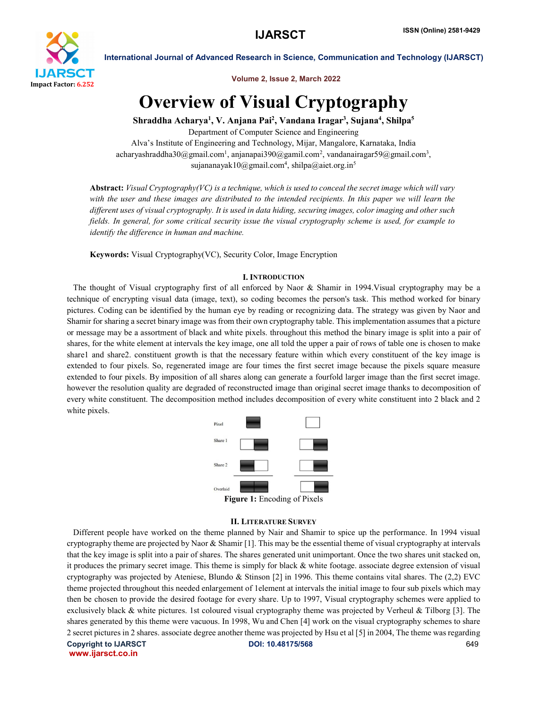

Volume 2, Issue 2, March 2022

# Overview of Visual Cryptography

Shraddha Acharya<sup>1</sup>, V. Anjana Pai<sup>2</sup>, Vandana Iragar<sup>3</sup>, Sujana<sup>4</sup>, Shilpa<sup>5</sup>

Department of Computer Science and Engineering Alva's Institute of Engineering and Technology, Mijar, Mangalore, Karnataka, India acharyashraddha30@gmail.com<sup>1</sup>, anjanapai390@gamil.com<sup>2</sup>, vandanairagar59@gmail.com<sup>3</sup>, sujananayak10@gmail.com<sup>4</sup>, shilpa@aiet.org.in<sup>5</sup>

Abstract: *Visual Cryptography(VC) is a technique, which is used to conceal the secret image which will vary with the user and these images are distributed to the intended recipients. In this paper we will learn the different uses of visual cryptography. It is used in data hiding, securing images, color imaging and other such fields. In general, for some critical security issue the visual cryptography scheme is used, for example to identify the difference in human and machine.*

Keywords: Visual Cryptography(VC), Security Color, Image Encryption

#### I. INTRODUCTION

 The thought of Visual cryptography first of all enforced by Naor & Shamir in 1994.Visual cryptography may be a technique of encrypting visual data (image, text), so coding becomes the person's task. This method worked for binary pictures. Coding can be identified by the human eye by reading or recognizing data. The strategy was given by Naor and Shamir for sharing a secret binary image was from their own cryptography table. This implementation assumes that a picture or message may be a assortment of black and white pixels. throughout this method the binary image is split into a pair of shares, for the white element at intervals the key image, one all told the upper a pair of rows of table one is chosen to make share1 and share2. constituent growth is that the necessary feature within which every constituent of the key image is extended to four pixels. So, regenerated image are four times the first secret image because the pixels square measure extended to four pixels. By imposition of all shares along can generate a fourfold larger image than the first secret image. however the resolution quality are degraded of reconstructed image than original secret image thanks to decomposition of every white constituent. The decomposition method includes decomposition of every white constituent into 2 black and 2 white pixels.



#### II. LITERATURE SURVEY

Copyright to IJARSCT DOI: 10.48175/568 649 Different people have worked on the theme planned by Nair and Shamir to spice up the performance. In 1994 visual cryptography theme are projected by Naor & Shamir [1]. This may be the essential theme of visual cryptography at intervals that the key image is split into a pair of shares. The shares generated unit unimportant. Once the two shares unit stacked on, it produces the primary secret image. This theme is simply for black & white footage. associate degree extension of visual cryptography was projected by Ateniese, Blundo & Stinson [2] in 1996. This theme contains vital shares. The  $(2,2)$  EVC theme projected throughout this needed enlargement of 1element at intervals the initial image to four sub pixels which may then be chosen to provide the desired footage for every share. Up to 1997, Visual cryptography schemes were applied to exclusively black  $\&$  white pictures. 1st coloured visual cryptography theme was projected by Verheul  $\&$  Tilborg [3]. The shares generated by this theme were vacuous. In 1998, Wu and Chen [4] work on the visual cryptography schemes to share 2 secret pictures in 2 shares. associate degree another theme was projected by Hsu et al [5] in 2004, The theme was regarding

www.ijarsct.co.in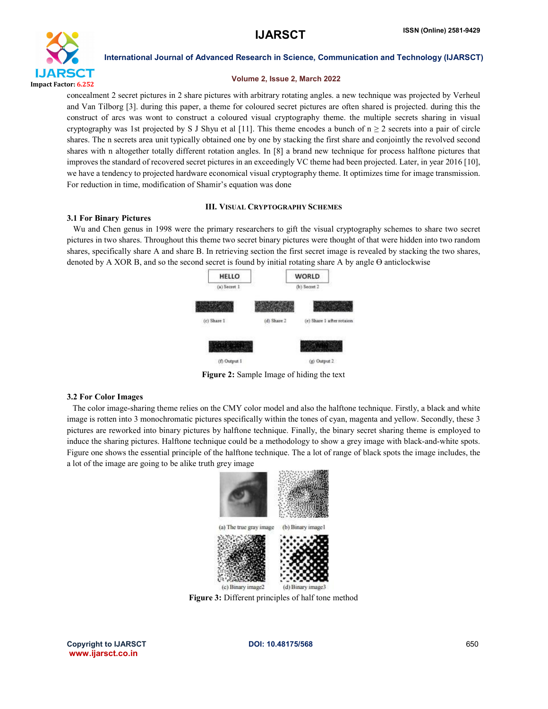

#### Volume 2, Issue 2, March 2022

concealment 2 secret pictures in 2 share pictures with arbitrary rotating angles. a new technique was projected by Verheul and Van Tilborg [3]. during this paper, a theme for coloured secret pictures are often shared is projected. during this the construct of arcs was wont to construct a coloured visual cryptography theme. the multiple secrets sharing in visual cryptography was 1st projected by S J Shyu et al [11]. This theme encodes a bunch of  $n \geq 2$  secrets into a pair of circle shares. The n secrets area unit typically obtained one by one by stacking the first share and conjointly the revolved second shares with n altogether totally different rotation angles. In [8] a brand new technique for process halftone pictures that improves the standard of recovered secret pictures in an exceedingly VC theme had been projected. Later, in year 2016 [10], we have a tendency to projected hardware economical visual cryptography theme. It optimizes time for image transmission. For reduction in time, modification of Shamir's equation was done

#### III. VISUAL CRYPTOGRAPHY SCHEMES

#### 3.1 For Binary Pictures

 Wu and Chen genus in 1998 were the primary researchers to gift the visual cryptography schemes to share two secret pictures in two shares. Throughout this theme two secret binary pictures were thought of that were hidden into two random shares, specifically share A and share B. In retrieving section the first secret image is revealed by stacking the two shares, denoted by A XOR B, and so the second secret is found by initial rotating share A by angle Ө anticlockwise



Figure 2: Sample Image of hiding the text

#### 3.2 For Color Images

 The color image-sharing theme relies on the CMY color model and also the halftone technique. Firstly, a black and white image is rotten into 3 monochromatic pictures specifically within the tones of cyan, magenta and yellow. Secondly, these 3 pictures are reworked into binary pictures by halftone technique. Finally, the binary secret sharing theme is employed to induce the sharing pictures. Halftone technique could be a methodology to show a grey image with black-and-white spots. Figure one shows the essential principle of the halftone technique. The a lot of range of black spots the image includes, the a lot of the image are going to be alike truth grey image



Figure 3: Different principles of half tone method

Copyright to IJARSCT **DOI: 10.48175/568 Copyright to IJARSCT** 650 www.ijarsct.co.in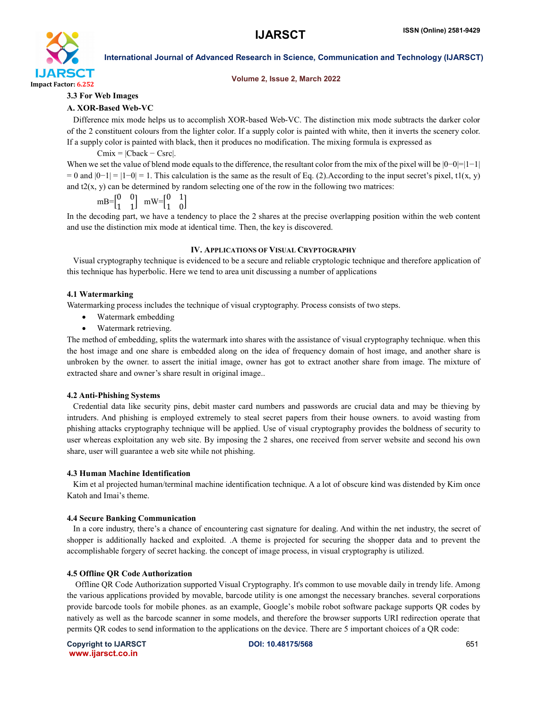

#### Volume 2, Issue 2, March 2022

#### 3.3 For Web Images

#### A. XOR-Based Web-VC

 Difference mix mode helps us to accomplish XOR-based Web-VC. The distinction mix mode subtracts the darker color of the 2 constituent colours from the lighter color. If a supply color is painted with white, then it inverts the scenery color. If a supply color is painted with black, then it produces no modification. The mixing formula is expressed as

 $Cmix = |Cback - Csrc|$ .

When we set the value of blend mode equals to the difference, the resultant color from the mix of the pixel will be  $|0-0|=|1-1|$  $= 0$  and  $|0-1| = |1-0| = 1$ . This calculation is the same as the result of Eq. (2). According to the input secret's pixel, t1(x, y) and  $t2(x, y)$  can be determined by random selecting one of the row in the following two matrices:

$$
mB{=}\begin{bmatrix}0&0\\1&1\end{bmatrix}\ \ mW{=}\begin{bmatrix}0&1\\1&0\end{bmatrix}
$$

In the decoding part, we have a tendency to place the 2 shares at the precise overlapping position within the web content and use the distinction mix mode at identical time. Then, the key is discovered.

#### IV. APPLICATIONS OF VISUAL CRYPTOGRAPHY

 Visual cryptography technique is evidenced to be a secure and reliable cryptologic technique and therefore application of this technique has hyperbolic. Here we tend to area unit discussing a number of applications

#### 4.1 Watermarking

Watermarking process includes the technique of visual cryptography. Process consists of two steps.

- Watermark embedding
- Watermark retrieving.

The method of embedding, splits the watermark into shares with the assistance of visual cryptography technique. when this the host image and one share is embedded along on the idea of frequency domain of host image, and another share is unbroken by the owner. to assert the initial image, owner has got to extract another share from image. The mixture of extracted share and owner's share result in original image..

#### 4.2 Anti-Phishing Systems

 Credential data like security pins, debit master card numbers and passwords are crucial data and may be thieving by intruders. And phishing is employed extremely to steal secret papers from their house owners. to avoid wasting from phishing attacks cryptography technique will be applied. Use of visual cryptography provides the boldness of security to user whereas exploitation any web site. By imposing the 2 shares, one received from server website and second his own share, user will guarantee a web site while not phishing.

#### 4.3 Human Machine Identification

Kim et al projected human/terminal machine identification technique. A a lot of obscure kind was distended by Kim once Katoh and Imai's theme.

#### 4.4 Secure Banking Communication

 In a core industry, there's a chance of encountering cast signature for dealing. And within the net industry, the secret of shopper is additionally hacked and exploited. .A theme is projected for securing the shopper data and to prevent the accomplishable forgery of secret hacking. the concept of image process, in visual cryptography is utilized.

#### 4.5 Offline QR Code Authorization

 Offline QR Code Authorization supported Visual Cryptography. It's common to use movable daily in trendy life. Among the various applications provided by movable, barcode utility is one amongst the necessary branches. several corporations provide barcode tools for mobile phones. as an example, Google's mobile robot software package supports QR codes by natively as well as the barcode scanner in some models, and therefore the browser supports URI redirection operate that permits QR codes to send information to the applications on the device. There are 5 important choices of a QR code: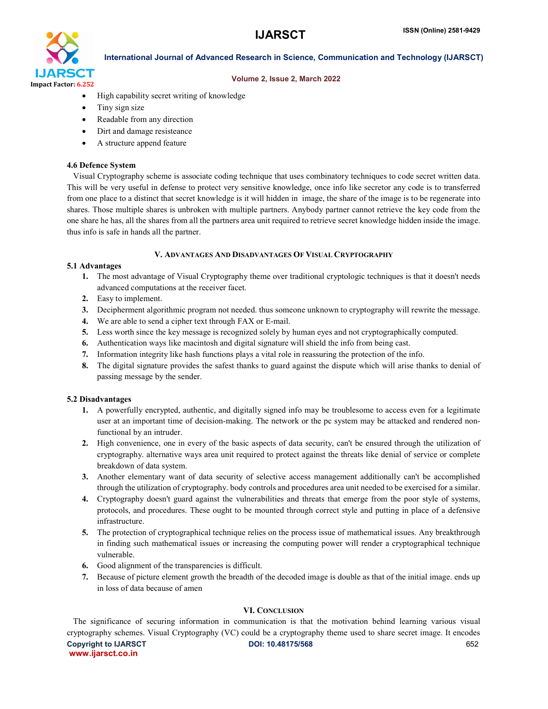

#### Volume 2, Issue 2, March 2022

- High capability secret writing of knowledge
- Tiny sign size
- Readable from any direction
- Dirt and damage resisteance
- A structure append feature

#### 4.6 Defence System

 Visual Cryptography scheme is associate coding technique that uses combinatory techniques to code secret written data. This will be very useful in defense to protect very sensitive knowledge, once info like secretor any code is to transferred from one place to a distinct that secret knowledge is it will hidden in image, the share of the image is to be regenerate into shares. Those multiple shares is unbroken with multiple partners. Anybody partner cannot retrieve the key code from the one share he has, all the shares from all the partners area unit required to retrieve secret knowledge hidden inside the image. thus info is safe in hands all the partner.

#### V. ADVANTAGES AND DISADVANTAGES OF VISUAL CRYPTOGRAPHY

#### 5.1 Advantages

- 1. The most advantage of Visual Cryptography theme over traditional cryptologic techniques is that it doesn't needs advanced computations at the receiver facet.
- 2. Easy to implement.
- 3. Decipherment algorithmic program not needed. thus someone unknown to cryptography will rewrite the message.
- 4. We are able to send a cipher text through FAX or E-mail.
- 5. Less worth since the key message is recognized solely by human eyes and not cryptographically computed.
- 6. Authentication ways like macintosh and digital signature will shield the info from being cast.
- 7. Information integrity like hash functions plays a vital role in reassuring the protection of the info.
- 8. The digital signature provides the safest thanks to guard against the dispute which will arise thanks to denial of passing message by the sender.

### 5.2 Disadvantages

- 1. A powerfully encrypted, authentic, and digitally signed info may be troublesome to access even for a legitimate user at an important time of decision-making. The network or the pc system may be attacked and rendered nonfunctional by an intruder.
- 2. High convenience, one in every of the basic aspects of data security, can't be ensured through the utilization of cryptography. alternative ways area unit required to protect against the threats like denial of service or complete breakdown of data system.
- 3. Another elementary want of data security of selective access management additionally can't be accomplished through the utilization of cryptography. body controls and procedures area unit needed to be exercised for a similar.
- 4. Cryptography doesn't guard against the vulnerabilities and threats that emerge from the poor style of systems, protocols, and procedures. These ought to be mounted through correct style and putting in place of a defensive infrastructure.
- 5. The protection of cryptographical technique relies on the process issue of mathematical issues. Any breakthrough in finding such mathematical issues or increasing the computing power will render a cryptographical technique vulnerable.
- 6. Good alignment of the transparencies is difficult.
- 7. Because of picture element growth the breadth of the decoded image is double as that of the initial image. ends up in loss of data because of amen

#### VI. CONCLUSION

Copyright to IJARSCT **DOI: 10.48175/568 Copyright to IJARSCT** 652 www.ijarsct.co.in The significance of securing information in communication is that the motivation behind learning various visual cryptography schemes. Visual Cryptography (VC) could be a cryptography theme used to share secret image. It encodes